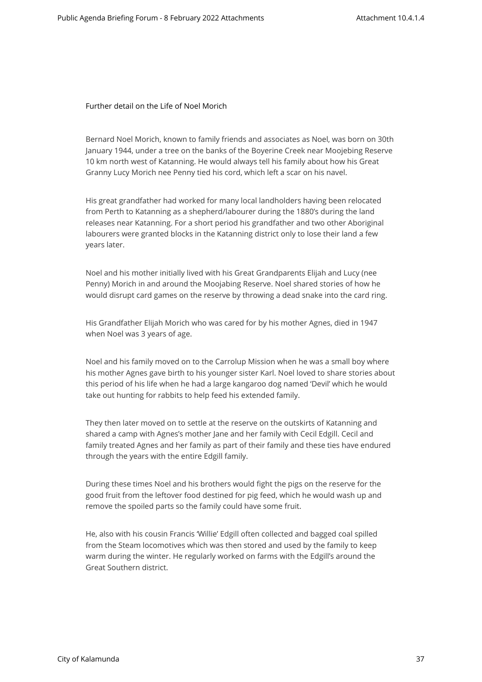Further detail on the Life of Noel Morich

Bernard Noel Morich, known to family friends and associates as Noel, was born on 30th January 1944, under a tree on the banks of the Boyerine Creek near Moojebing Reserve 10 km north west of Katanning. He would always tell his family about how his Great Granny Lucy Morich nee Penny tied his cord, which left a scar on his navel.

His great grandfather had worked for many local landholders having been relocated from Perth to Katanning as a shepherd/labourer during the 1880's during the land releases near Katanning. For a short period his grandfather and two other Aboriginal labourers were granted blocks in the Katanning district only to lose their land a few years later.

Noel and his mother initially lived with his Great Grandparents Elijah and Lucy (nee Penny) Morich in and around the Moojabing Reserve. Noel shared stories of how he would disrupt card games on the reserve by throwing a dead snake into the card ring.

His Grandfather Elijah Morich who was cared for by his mother Agnes, died in 1947 when Noel was 3 years of age.

Noel and his family moved on to the Carrolup Mission when he was a small boy where his mother Agnes gave birth to his younger sister Karl. Noel loved to share stories about this period of his life when he had a large kangaroo dog named 'Devil' which he would take out hunting for rabbits to help feed his extended family.

They then later moved on to settle at the reserve on the outskirts of Katanning and shared a camp with Agnes's mother Jane and her family with Cecil Edgill. Cecil and family treated Agnes and her family as part of their family and these ties have endured through the years with the entire Edgill family.

During these times Noel and his brothers would fight the pigs on the reserve for the good fruit from the leftover food destined for pig feed, which he would wash up and remove the spoiled parts so the family could have some fruit.

He, also with his cousin Francis 'Willie' Edgill often collected and bagged coal spilled from the Steam locomotives which was then stored and used by the family to keep warm during the winter. He regularly worked on farms with the Edgill's around the Great Southern district.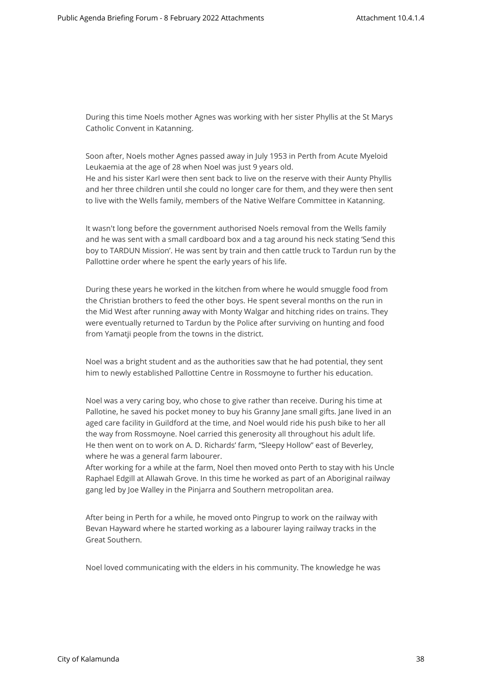During this time Noels mother Agnes was working with her sister Phyllis at the St Marys Catholic Convent in Katanning.

Soon after, Noels mother Agnes passed away in July 1953 in Perth from Acute Myeloid Leukaemia at the age of 28 when Noel was just 9 years old. He and his sister Karl were then sent back to live on the reserve with their Aunty Phyllis and her three children until she could no longer care for them, and they were then sent to live with the Wells family, members of the Native Welfare Committee in Katanning.

It wasn't long before the government authorised Noels removal from the Wells family and he was sent with a small cardboard box and a tag around his neck stating 'Send this boy to TARDUN Mission'. He was sent by train and then cattle truck to Tardun run by the Pallottine order where he spent the early years of his life.

During these years he worked in the kitchen from where he would smuggle food from the Christian brothers to feed the other boys. He spent several months on the run in the Mid West after running away with Monty Walgar and hitching rides on trains. They were eventually returned to Tardun by the Police after surviving on hunting and food from Yamatji people from the towns in the district.

Noel was a bright student and as the authorities saw that he had potential, they sent him to newly established Pallottine Centre in Rossmoyne to further his education.

Noel was a very caring boy, who chose to give rather than receive. During his time at Pallotine, he saved his pocket money to buy his Granny Jane small gifts. Jane lived in an aged care facility in Guildford at the time, and Noel would ride his push bike to her all the way from Rossmoyne. Noel carried this generosity all throughout his adult life. He then went on to work on A. D. Richards' farm, "Sleepy Hollow" east of Beverley, where he was a general farm labourer.

After working for a while at the farm, Noel then moved onto Perth to stay with his Uncle Raphael Edgill at Allawah Grove. In this time he worked as part of an Aboriginal railway gang led by Joe Walley in the Pinjarra and Southern metropolitan area.

After being in Perth for a while, he moved onto Pingrup to work on the railway with Bevan Hayward where he started working as a labourer laying railway tracks in the Great Southern.

Noel loved communicating with the elders in his community. The knowledge he was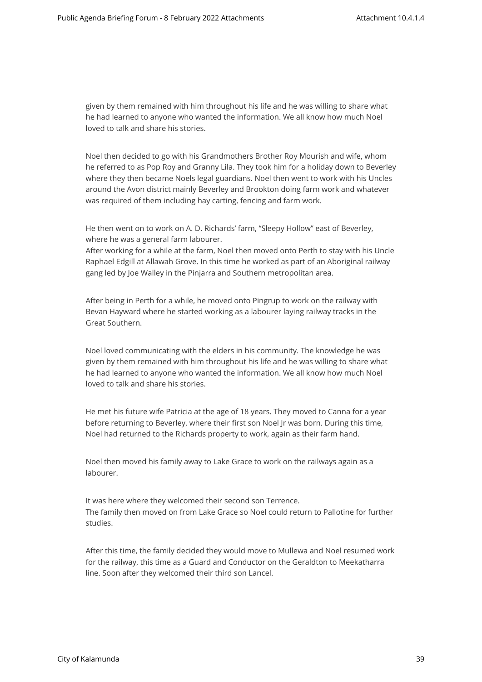given by them remained with him throughout his life and he was willing to share what he had learned to anyone who wanted the information. We all know how much Noel loved to talk and share his stories.

Noel then decided to go with his Grandmothers Brother Roy Mourish and wife, whom he referred to as Pop Roy and Granny Lila. They took him for a holiday down to Beverley where they then became Noels legal guardians. Noel then went to work with his Uncles around the Avon district mainly Beverley and Brookton doing farm work and whatever was required of them including hay carting, fencing and farm work.

He then went on to work on A. D. Richards' farm, "Sleepy Hollow" east of Beverley, where he was a general farm labourer.

After working for a while at the farm, Noel then moved onto Perth to stay with his Uncle Raphael Edgill at Allawah Grove. In this time he worked as part of an Aboriginal railway gang led by Joe Walley in the Pinjarra and Southern metropolitan area.

After being in Perth for a while, he moved onto Pingrup to work on the railway with Bevan Hayward where he started working as a labourer laying railway tracks in the Great Southern.

Noel loved communicating with the elders in his community. The knowledge he was given by them remained with him throughout his life and he was willing to share what he had learned to anyone who wanted the information. We all know how much Noel loved to talk and share his stories.

He met his future wife Patricia at the age of 18 years. They moved to Canna for a year before returning to Beverley, where their first son Noel Jr was born. During this time, Noel had returned to the Richards property to work, again as their farm hand.

Noel then moved his family away to Lake Grace to work on the railways again as a labourer.

It was here where they welcomed their second son Terrence. The family then moved on from Lake Grace so Noel could return to Pallotine for further studies.

After this time, the family decided they would move to Mullewa and Noel resumed work for the railway, this time as a Guard and Conductor on the Geraldton to Meekatharra line. Soon after they welcomed their third son Lancel.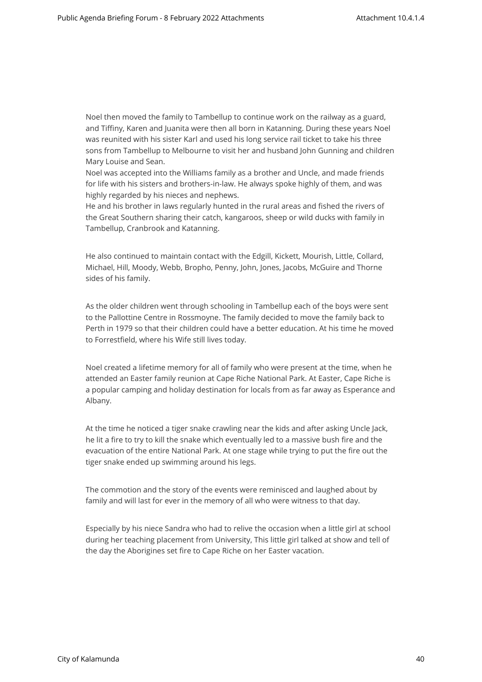Noel then moved the family to Tambellup to continue work on the railway as a guard, and Tiffiny, Karen and Juanita were then all born in Katanning. During these years Noel was reunited with his sister Karl and used his long service rail ticket to take his three sons from Tambellup to Melbourne to visit her and husband John Gunning and children Mary Louise and Sean.

Noel was accepted into the Williams family as a brother and Uncle, and made friends for life with his sisters and brothers-in-law. He always spoke highly of them, and was highly regarded by his nieces and nephews.

He and his brother in laws regularly hunted in the rural areas and fished the rivers of the Great Southern sharing their catch, kangaroos, sheep or wild ducks with family in Tambellup, Cranbrook and Katanning.

He also continued to maintain contact with the Edgill, Kickett, Mourish, Little, Collard, Michael, Hill, Moody, Webb, Bropho, Penny, John, Jones, Jacobs, McGuire and Thorne sides of his family.

As the older children went through schooling in Tambellup each of the boys were sent to the Pallottine Centre in Rossmoyne. The family decided to move the family back to Perth in 1979 so that their children could have a better education. At his time he moved to Forrestfield, where his Wife still lives today.

Noel created a lifetime memory for all of family who were present at the time, when he attended an Easter family reunion at Cape Riche National Park. At Easter, Cape Riche is a popular camping and holiday destination for locals from as far away as Esperance and Albany.

At the time he noticed a tiger snake crawling near the kids and after asking Uncle Jack, he lit a fire to try to kill the snake which eventually led to a massive bush fire and the evacuation of the entire National Park. At one stage while trying to put the fire out the tiger snake ended up swimming around his legs.

The commotion and the story of the events were reminisced and laughed about by family and will last for ever in the memory of all who were witness to that day.

Especially by his niece Sandra who had to relive the occasion when a little girl at school during her teaching placement from University, This little girl talked at show and tell of the day the Aborigines set fire to Cape Riche on her Easter vacation.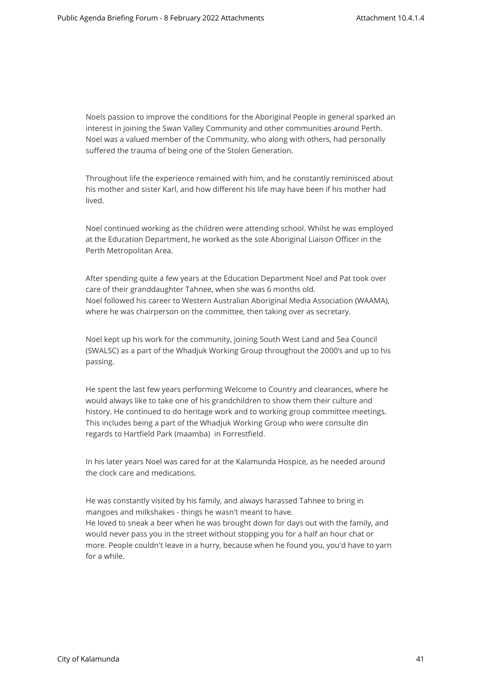Noels passion to improve the conditions for the Aboriginal People in general sparked an interest in joining the Swan Valley Community and other communities around Perth. Noel was a valued member of the Community, who along with others, had personally suffered the trauma of being one of the Stolen Generation.

Throughout life the experience remained with him, and he constantly reminisced about his mother and sister Karl, and how different his life may have been if his mother had lived.

Noel continued working as the children were attending school. Whilst he was employed at the Education Department, he worked as the sole Aboriginal Liaison Officer in the Perth Metropolitan Area.

After spending quite a few years at the Education Department Noel and Pat took over care of their granddaughter Tahnee, when she was 6 months old. Noel followed his career to Western Australian Aboriginal Media Association (WAAMA), where he was chairperson on the committee, then taking over as secretary.

Noel kept up his work for the community, joining South West Land and Sea Council (SWALSC) as a part of the Whadjuk Working Group throughout the 2000's and up to his passing.

He spent the last few years performing Welcome to Country and clearances, where he would always like to take one of his grandchildren to show them their culture and history. He continued to do heritage work and to working group committee meetings. This includes being a part of the Whadjuk Working Group who were consulte din regards to Hartfield Park (maamba) in Forrestfield.

In his later years Noel was cared for at the Kalamunda Hospice, as he needed around the clock care and medications.

He was constantly visited by his family, and always harassed Tahnee to bring in mangoes and milkshakes - things he wasn't meant to have. He loved to sneak a beer when he was brought down for days out with the family, and would never pass you in the street without stopping you for a half an hour chat or more. People couldn't leave in a hurry, because when he found you, you'd have to yarn for a while.